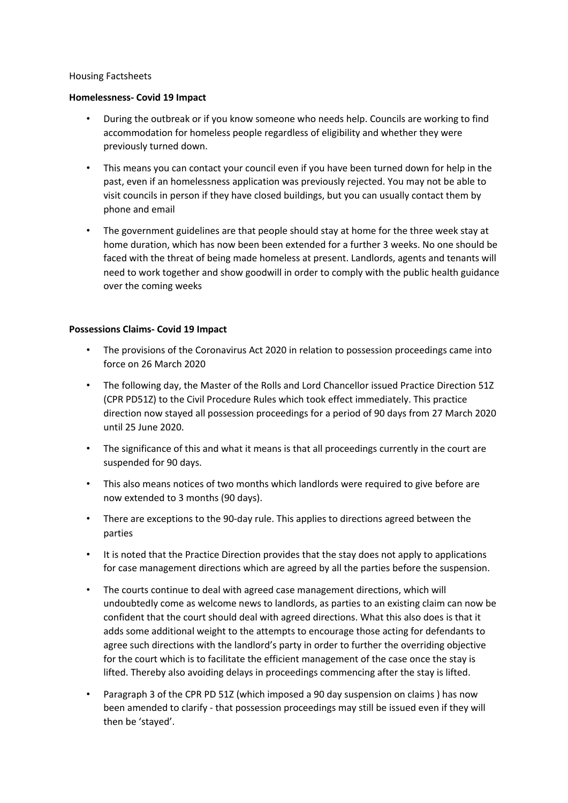## Housing Factsheets

## **Homelessness- Covid 19 Impact**

- During the outbreak or if you know someone who needs help. Councils are working to find accommodation for homeless people regardless of eligibility and whether they were previously turned down.
- This means you can contact your council even if you have been turned down for help in the past, even if an homelessness application was previously rejected. You may not be able to visit councils in person if they have closed buildings, but you can usually contact them by phone and email
- The government guidelines are that people should stay at home for the three week stay at home duration, which has now been been extended for a further 3 weeks. No one should be faced with the threat of being made homeless at present. Landlords, agents and tenants will need to work together and show goodwill in order to comply with the public health guidance over the coming weeks

## **Possessions Claims- Covid 19 Impact**

- The provisions of the Coronavirus Act 2020 in relation to possession proceedings came into force on 26 March 2020
- The following day, the Master of the Rolls and Lord Chancellor issued Practice Direction 51Z (CPR PD51Z) to the Civil Procedure Rules which took effect immediately. This practice direction now stayed all possession proceedings for a period of 90 days from 27 March 2020 until 25 June 2020.
- The significance of this and what it means is that all proceedings currently in the court are suspended for 90 days.
- This also means notices of two months which landlords were required to give before are now extended to 3 months (90 days).
- There are exceptions to the 90-day rule. This applies to directions agreed between the parties
- It is noted that the Practice Direction provides that the stay does not apply to applications for case management directions which are agreed by all the parties before the suspension.
- The courts continue to deal with agreed case management directions, which will undoubtedly come as welcome news to landlords, as parties to an existing claim can now be confident that the court should deal with agreed directions. What this also does is that it adds some additional weight to the attempts to encourage those acting for defendants to agree such directions with the landlord's party in order to further the overriding objective for the court which is to facilitate the efficient management of the case once the stay is lifted. Thereby also avoiding delays in proceedings commencing after the stay is lifted.
- Paragraph 3 of the CPR PD 51Z (which imposed a 90 day suspension on claims ) has now been amended to clarify - that possession proceedings may still be issued even if they will then be 'stayed'.